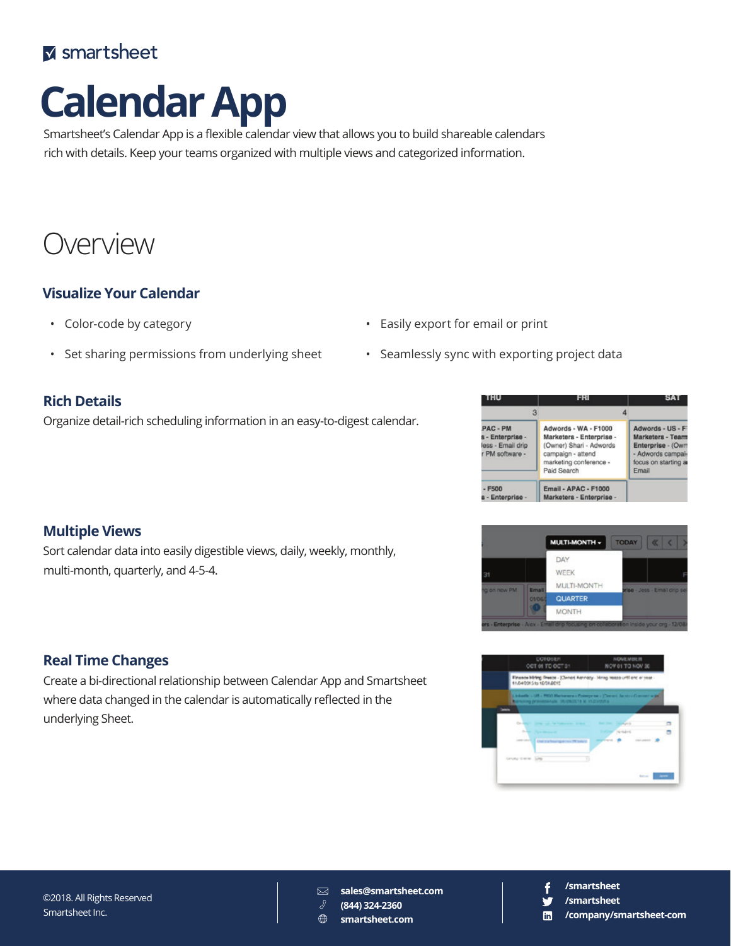# **M** smartsheet

# **Calendar App**

Smartsheet's Calendar App is a flexible calendar view that allows you to build shareable calendars rich with details. Keep your teams organized with multiple views and categorized information.

# Overview

# **Visualize Your Calendar**

- Color-code by category
- Set sharing permissions from underlying sheet
	-

# **Rich Details**

Organize detail-rich scheduling information in an easy-to-digest calendar.

|  |  | • Easily export for email or print |  |  |  |  |
|--|--|------------------------------------|--|--|--|--|
|--|--|------------------------------------|--|--|--|--|

• Seamlessly sync with exporting project data

| I HU                                                                 | н                                                                                                                                         | 8A I                                                                                                           |
|----------------------------------------------------------------------|-------------------------------------------------------------------------------------------------------------------------------------------|----------------------------------------------------------------------------------------------------------------|
| з                                                                    |                                                                                                                                           |                                                                                                                |
| PAC - PM<br>s - Enterprise -<br>less - Email drip<br>r PM software - | Adwords - WA - F1000<br>Marketers - Enterprise -<br>(Owner) Shari - Adwords<br>campaign - attend<br>marketing conference -<br>Paid Search | Adwords - US - F<br>Marketers - Team<br>Enterprise - (Own<br>- Adwords campai-<br>focus on starting a<br>Email |
| $- F500$<br>s - Enterprise -                                         | <b>Email - APAC - F1000</b><br>Marketers - Enterprise -                                                                                   |                                                                                                                |





## Sort calendar data into easily digestible views, daily, weekly, monthly, multi-month, quarterly, and 4-5-4.

**Multiple Views**

# **Real Time Changes**

Create a bi-directional relationship between Calendar App and Smartsheet where data changed in the calendar is automatically reflected in the underlying Sheet.

#### ©2018. All Rights Reserved Smartsheet Inc.

 $\boxtimes$ **sales@smartsheet.com**

- **(844) 324-2360**  $\bigoplus$ 
	- **smartsheet.com**

# **/smartsheet**

- **/smartsheet**
- **/company/smartsheet-com in**